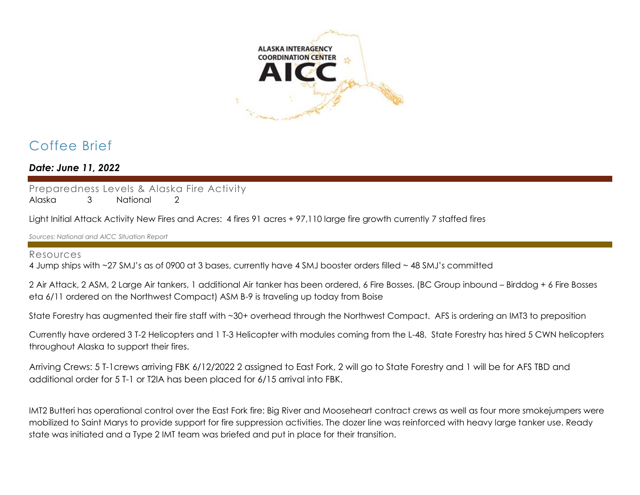

# Coffee Brief

*Date: June 11, 2022*

Preparedness Levels & Alaska Fire Activity

Alaska 3 National 2

Light Initial Attack Activity New Fires and Acres: 4 fires 91 acres + 97,110 large fire growth currently 7 staffed fires

*Sources: National and AICC Situation Report*

## Resources

4 Jump ships with ~27 SMJ's as of 0900 at 3 bases, currently have 4 SMJ booster orders filled ~ 48 SMJ's committed

2 Air Attack, 2 ASM, 2 Large Air tankers, 1 additional Air tanker has been ordered, 6 Fire Bosses. (BC Group inbound – Birddog + 6 Fire Bosses eta 6/11 ordered on the Northwest Compact) ASM B-9 is traveling up today from Boise

State Forestry has augmented their fire staff with ~30+ overhead through the Northwest Compact. AFS is ordering an IMT3 to preposition

Currently have ordered 3 T-2 Helicopters and 1 T-3 Helicopter with modules coming from the L-48. State Forestry has hired 5 CWN helicopters throughout Alaska to support their fires.

Arriving Crews: 5 T-1crews arriving FBK 6/12/2022 2 assigned to East Fork, 2 will go to State Forestry and 1 will be for AFS TBD and additional order for 5 T-1 or T2IA has been placed for 6/15 arrival into FBK.

IMT2 Butteri has operational control over the East Fork fire: Big River and Mooseheart contract crews as well as four more smokejumpers were mobilized to Saint Marys to provide support for fire suppression activities. The dozer line was reinforced with heavy large tanker use. Ready state was initiated and a Type 2 IMT team was briefed and put in place for their transition.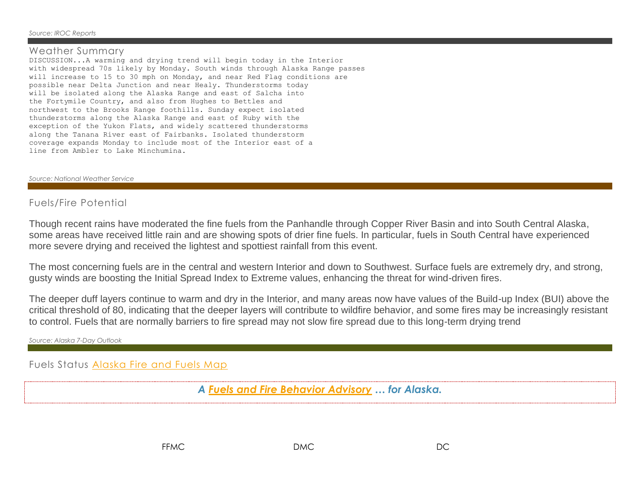#### *Source: IROC Reports*

## Weather Summary

DISCUSSION...A warming and drying trend will begin today in the Interior with widespread 70s likely by Monday. South winds through Alaska Range passes will increase to 15 to 30 mph on Monday, and near Red Flag conditions are possible near Delta Junction and near Healy. Thunderstorms today will be isolated along the Alaska Range and east of Salcha into the Fortymile Country, and also from Hughes to Bettles and northwest to the Brooks Range foothills. Sunday expect isolated thunderstorms along the Alaska Range and east of Ruby with the exception of the Yukon Flats, and widely scattered thunderstorms along the Tanana River east of Fairbanks. Isolated thunderstorm coverage expands Monday to include most of the Interior east of a line from Ambler to Lake Minchumina.

### *Source: National Weather Service*

## Fuels/Fire Potential

Though recent rains have moderated the fine fuels from the Panhandle through Copper River Basin and into South Central Alaska, some areas have received little rain and are showing spots of drier fine fuels. In particular, fuels in South Central have experienced more severe drying and received the lightest and spottiest rainfall from this event.

The most concerning fuels are in the central and western Interior and down to Southwest. Surface fuels are extremely dry, and strong, gusty winds are boosting the Initial Spread Index to Extreme values, enhancing the threat for wind-driven fires.

The deeper duff layers continue to warm and dry in the Interior, and many areas now have values of the Build-up Index (BUI) above the critical threshold of 80, indicating that the deeper layers will contribute to wildfire behavior, and some fires may be increasingly resistant to control. Fuels that are normally barriers to fire spread may not slow fire spread due to this long-term drying trend

*Source: Alaska 7-Day Outlook*

Fuels Status [Alaska Fire and Fuels Map](https://akff.mesowest.org/map/#/c6337,-14900,4/g1/mc/vtemp/sAK/n/zt)

*A [Fuels and Fire Behavior Advisory](https://fire.ak.blm.gov/predsvcs/fuelfire.php) … for Alaska.*